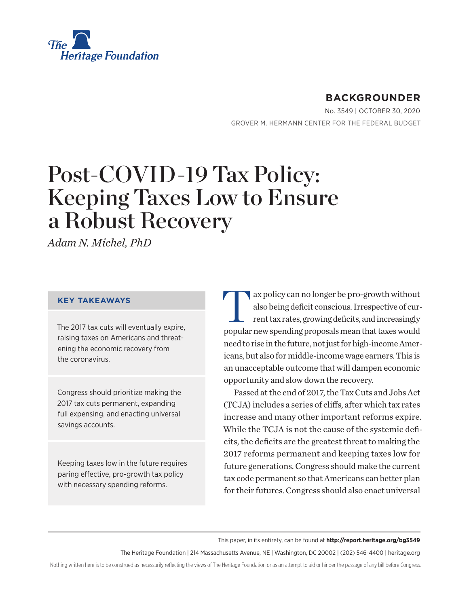

# **BACKGROUNDER**

No. 3549 | October 30, 2020 GROVER M. HERMANN CENTER FOR THE FEDERAL BUDGET

# Post-COVID-19 Tax Policy: Keeping Taxes Low to Ensure a Robust Recovery

*Adam N. Michel, PhD*

#### **KEY TAKEAWAYS**

The 2017 tax cuts will eventually expire, raising taxes on Americans and threatening the economic recovery from the coronavirus.

Congress should prioritize making the 2017 tax cuts permanent, expanding full expensing, and enacting universal savings accounts.

Keeping taxes low in the future requires paring effective, pro-growth tax policy with necessary spending reforms.

Tax policy can no longer be pro-growth without<br>also being deficit conscious. Irrespective of current tax rates, growing deficits, and increasingly also being deficit conscious. Irrespective of current tax rates, growing deficits, and increasingly popular new spending proposals mean that taxes would need to rise in the future, not just for high-income Americans, but also for middle-income wage earners. This is an unacceptable outcome that will dampen economic opportunity and slow down the recovery.

Passed at the end of 2017, the Tax Cuts and Jobs Act (TCJA) includes a series of cliffs, after which tax rates increase and many other important reforms expire. While the TCJA is not the cause of the systemic deficits, the deficits are the greatest threat to making the 2017 reforms permanent and keeping taxes low for future generations. Congress should make the current tax code permanent so that Americans can better plan for their futures. Congress should also enact universal

This paper, in its entirety, can be found at **http://report.heritage.org/bg3549**

The Heritage Foundation | 214 Massachusetts Avenue, NE | Washington, DC 20002 | (202) 546-4400 | heritage.org

Nothing written here is to be construed as necessarily reflecting the views of The Heritage Foundation or as an attempt to aid or hinder the passage of any bill before Congress.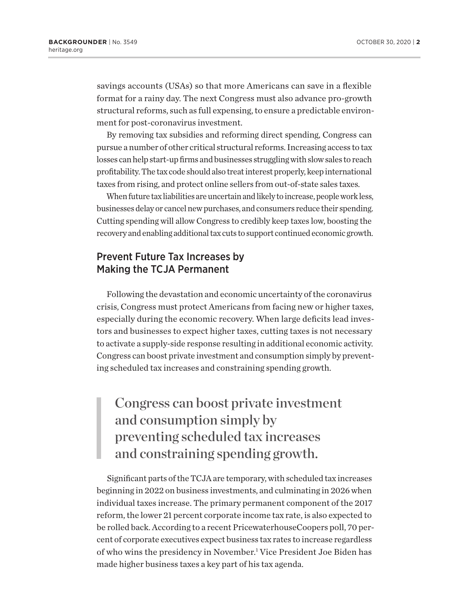savings accounts (USAs) so that more Americans can save in a flexible format for a rainy day. The next Congress must also advance pro-growth structural reforms, such as full expensing, to ensure a predictable environment for post-coronavirus investment.

By removing tax subsidies and reforming direct spending, Congress can pursue a number of other critical structural reforms. Increasing access to tax losses can help start-up firms and businesses struggling with slow sales to reach profitability. The tax code should also treat interest properly, keep international taxes from rising, and protect online sellers from out-of-state sales taxes.

When future tax liabilities are uncertain and likely to increase, people work less, businesses delay or cancel new purchases, and consumers reduce their spending. Cutting spending will allow Congress to credibly keep taxes low, boosting the recovery and enabling additional tax cuts to support continued economic growth.

# Prevent Future Tax Increases by Making the TCJA Permanent

Following the devastation and economic uncertainty of the coronavirus crisis, Congress must protect Americans from facing new or higher taxes, especially during the economic recovery. When large deficits lead investors and businesses to expect higher taxes, cutting taxes is not necessary to activate a supply-side response resulting in additional economic activity. Congress can boost private investment and consumption simply by preventing scheduled tax increases and constraining spending growth.

Congress can boost private investment and consumption simply by preventing scheduled tax increases and constraining spending growth.

Significant parts of the TCJA are temporary, with scheduled tax increases beginning in 2022 on business investments, and culminating in 2026 when individual taxes increase. The primary permanent component of the 2017 reform, the lower 21 percent corporate income tax rate, is also expected to be rolled back. According to a recent PricewaterhouseCoopers poll, 70 percent of corporate executives expect business tax rates to increase regardless of who wins the presidency in November.<sup>1</sup> Vice President Joe Biden has made higher business taxes a key part of his tax agenda.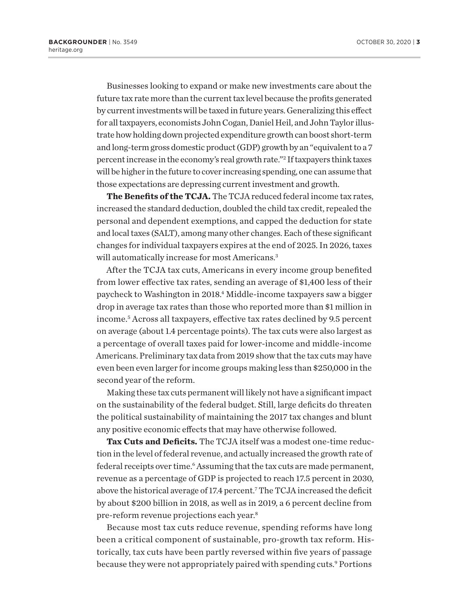Businesses looking to expand or make new investments care about the future tax rate more than the current tax level because the profits generated by current investments will be taxed in future years. Generalizing this effect for all taxpayers, economists John Cogan, Daniel Heil, and John Taylor illustrate how holding down projected expenditure growth can boost short-term and long-term gross domestic product (GDP) growth by an "equivalent to a 7 percent increase in the economy's real growth rate."2 If taxpayers think taxes will be higher in the future to cover increasing spending, one can assume that those expectations are depressing current investment and growth.

**The Benefits of the TCJA.** The TCJA reduced federal income tax rates, increased the standard deduction, doubled the child tax credit, repealed the personal and dependent exemptions, and capped the deduction for state and local taxes (SALT), among many other changes. Each of these significant changes for individual taxpayers expires at the end of 2025. In 2026, taxes will automatically increase for most Americans.<sup>3</sup>

After the TCJA tax cuts, Americans in every income group benefited from lower effective tax rates, sending an average of \$1,400 less of their paycheck to Washington in 2018.4 Middle-income taxpayers saw a bigger drop in average tax rates than those who reported more than \$1 million in income.5 Across all taxpayers, effective tax rates declined by 9.5 percent on average (about 1.4 percentage points). The tax cuts were also largest as a percentage of overall taxes paid for lower-income and middle-income Americans. Preliminary tax data from 2019 show that the tax cuts may have even been even larger for income groups making less than \$250,000 in the second year of the reform.

Making these tax cuts permanent will likely not have a significant impact on the sustainability of the federal budget. Still, large deficits do threaten the political sustainability of maintaining the 2017 tax changes and blunt any positive economic effects that may have otherwise followed.

**Tax Cuts and Deficits.** The TCJA itself was a modest one-time reduction in the level of federal revenue, and actually increased the growth rate of federal receipts over time.<sup>6</sup> Assuming that the tax cuts are made permanent, revenue as a percentage of GDP is projected to reach 17.5 percent in 2030, above the historical average of 17.4 percent.7 The TCJA increased the deficit by about \$200 billion in 2018, as well as in 2019, a 6 percent decline from pre-reform revenue projections each year.8

Because most tax cuts reduce revenue, spending reforms have long been a critical component of sustainable, pro-growth tax reform. Historically, tax cuts have been partly reversed within five years of passage because they were not appropriately paired with spending cuts.<sup>9</sup> Portions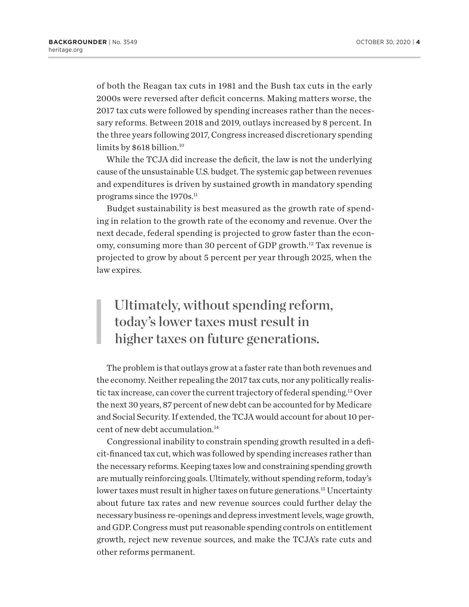of both the Reagan tax cuts in 1981 and the Bush tax cuts in the early 2000s were reversed after deficit concerns. Making matters worse, the 2017 tax cuts were followed by spending increases rather than the necessary reforms. Between 2018 and 2019, outlays increased by 8 percent. In the three years following 2017, Congress increased discretionary spending limits by \$618 billion.<sup>10</sup>

While the TCJA did increase the deficit, the law is not the underlying cause of the unsustainable U.S. budget. The systemic gap between revenues and expenditures is driven by sustained growth in mandatory spending programs since the 1970s.<sup>11</sup>

Budget sustainability is best measured as the growth rate of spending in relation to the growth rate of the economy and revenue. Over the next decade, federal spending is projected to grow faster than the economy, consuming more than 30 percent of GDP growth.12 Tax revenue is projected to grow by about 5 percent per year through 2025, when the law expires.

# Ultimately, without spending reform, today's lower taxes must result in higher taxes on future generations.

The problem is that outlays grow at a faster rate than both revenues and the economy. Neither repealing the 2017 tax cuts, nor any politically realistic tax increase, can cover the current trajectory of federal spending.13 Over the next 30 years, 87 percent of new debt can be accounted for by Medicare and Social Security. If extended, the TCJA would account for about 10 percent of new debt accumulation.<sup>14</sup>

Congressional inability to constrain spending growth resulted in a deficit-financed tax cut, which was followed by spending increases rather than the necessary reforms. Keeping taxes low and constraining spending growth are mutually reinforcing goals. Ultimately, without spending reform, today's lower taxes must result in higher taxes on future generations.<sup>15</sup> Uncertainty about future tax rates and new revenue sources could further delay the necessary business re-openings and depress investment levels, wage growth, and GDP. Congress must put reasonable spending controls on entitlement growth, reject new revenue sources, and make the TCJA's rate cuts and other reforms permanent.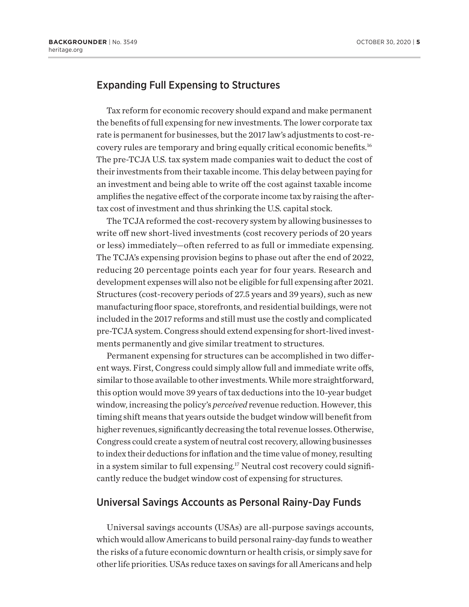# Expanding Full Expensing to Structures

Tax reform for economic recovery should expand and make permanent the benefits of full expensing for new investments. The lower corporate tax rate is permanent for businesses, but the 2017 law's adjustments to cost-recovery rules are temporary and bring equally critical economic benefits.16 The pre-TCJA U.S. tax system made companies wait to deduct the cost of their investments from their taxable income. This delay between paying for an investment and being able to write off the cost against taxable income amplifies the negative effect of the corporate income tax by raising the aftertax cost of investment and thus shrinking the U.S. capital stock.

The TCJA reformed the cost-recovery system by allowing businesses to write off new short-lived investments (cost recovery periods of 20 years or less) immediately—often referred to as full or immediate expensing. The TCJA's expensing provision begins to phase out after the end of 2022, reducing 20 percentage points each year for four years. Research and development expenses will also not be eligible for full expensing after 2021. Structures (cost-recovery periods of 27.5 years and 39 years), such as new manufacturing floor space, storefronts, and residential buildings, were not included in the 2017 reforms and still must use the costly and complicated pre-TCJA system. Congress should extend expensing for short-lived investments permanently and give similar treatment to structures.

Permanent expensing for structures can be accomplished in two different ways. First, Congress could simply allow full and immediate write offs, similar to those available to other investments. While more straightforward, this option would move 39 years of tax deductions into the 10-year budget window, increasing the policy's *perceived* revenue reduction. However, this timing shift means that years outside the budget window will benefit from higher revenues, significantly decreasing the total revenue losses. Otherwise, Congress could create a system of neutral cost recovery, allowing businesses to index their deductions for inflation and the time value of money, resulting in a system similar to full expensing.<sup>17</sup> Neutral cost recovery could significantly reduce the budget window cost of expensing for structures.

#### Universal Savings Accounts as Personal Rainy-Day Funds

Universal savings accounts (USAs) are all-purpose savings accounts, which would allow Americans to build personal rainy-day funds to weather the risks of a future economic downturn or health crisis, or simply save for other life priorities. USAs reduce taxes on savings for all Americans and help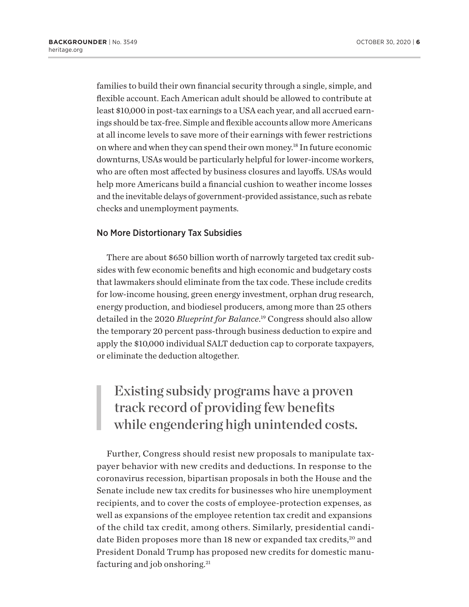families to build their own financial security through a single, simple, and flexible account. Each American adult should be allowed to contribute at least \$10,000 in post-tax earnings to a USA each year, and all accrued earnings should be tax-free. Simple and flexible accounts allow more Americans at all income levels to save more of their earnings with fewer restrictions on where and when they can spend their own money.18 In future economic downturns, USAs would be particularly helpful for lower-income workers, who are often most affected by business closures and layoffs. USAs would help more Americans build a financial cushion to weather income losses and the inevitable delays of government-provided assistance, such as rebate checks and unemployment payments.

#### No More Distortionary Tax Subsidies

There are about \$650 billion worth of narrowly targeted tax credit subsides with few economic benefits and high economic and budgetary costs that lawmakers should eliminate from the tax code. These include credits for low-income housing, green energy investment, orphan drug research, energy production, and biodiesel producers, among more than 25 others detailed in the 2020 *Blueprint for Balance*. 19 Congress should also allow the temporary 20 percent pass-through business deduction to expire and apply the \$10,000 individual SALT deduction cap to corporate taxpayers, or eliminate the deduction altogether.

# Existing subsidy programs have a proven track record of providing few benefits while engendering high unintended costs.

Further, Congress should resist new proposals to manipulate taxpayer behavior with new credits and deductions. In response to the coronavirus recession, bipartisan proposals in both the House and the Senate include new tax credits for businesses who hire unemployment recipients, and to cover the costs of employee-protection expenses, as well as expansions of the employee retention tax credit and expansions of the child tax credit, among others. Similarly, presidential candidate Biden proposes more than 18 new or expanded tax credits,<sup>20</sup> and President Donald Trump has proposed new credits for domestic manufacturing and job onshoring.<sup>21</sup>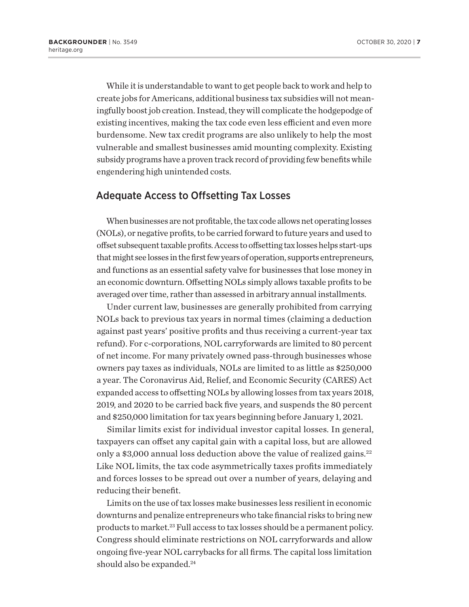While it is understandable to want to get people back to work and help to create jobs for Americans, additional business tax subsidies will not meaningfully boost job creation. Instead, they will complicate the hodgepodge of existing incentives, making the tax code even less efficient and even more burdensome. New tax credit programs are also unlikely to help the most vulnerable and smallest businesses amid mounting complexity. Existing subsidy programs have a proven track record of providing few benefits while engendering high unintended costs.

#### Adequate Access to Offsetting Tax Losses

When businesses are not profitable, the tax code allows net operating losses (NOLs), or negative profits, to be carried forward to future years and used to offset subsequent taxable profits. Access to offsetting tax losses helps start-ups that might see losses in the first few years of operation, supports entrepreneurs, and functions as an essential safety valve for businesses that lose money in an economic downturn. Offsetting NOLs simply allows taxable profits to be averaged over time, rather than assessed in arbitrary annual installments.

Under current law, businesses are generally prohibited from carrying NOLs back to previous tax years in normal times (claiming a deduction against past years' positive profits and thus receiving a current-year tax refund). For c-corporations, NOL carryforwards are limited to 80 percent of net income. For many privately owned pass-through businesses whose owners pay taxes as individuals, NOLs are limited to as little as \$250,000 a year. The Coronavirus Aid, Relief, and Economic Security (CARES) Act expanded access to offsetting NOLs by allowing losses from tax years 2018, 2019, and 2020 to be carried back five years, and suspends the 80 percent and \$250,000 limitation for tax years beginning before January 1, 2021.

Similar limits exist for individual investor capital losses. In general, taxpayers can offset any capital gain with a capital loss, but are allowed only a \$3,000 annual loss deduction above the value of realized gains.<sup>22</sup> Like NOL limits, the tax code asymmetrically taxes profits immediately and forces losses to be spread out over a number of years, delaying and reducing their benefit.

Limits on the use of tax losses make businesses less resilient in economic downturns and penalize entrepreneurs who take financial risks to bring new products to market.23 Full access to tax losses should be a permanent policy. Congress should eliminate restrictions on NOL carryforwards and allow ongoing five-year NOL carrybacks for all firms. The capital loss limitation should also be expanded.<sup>24</sup>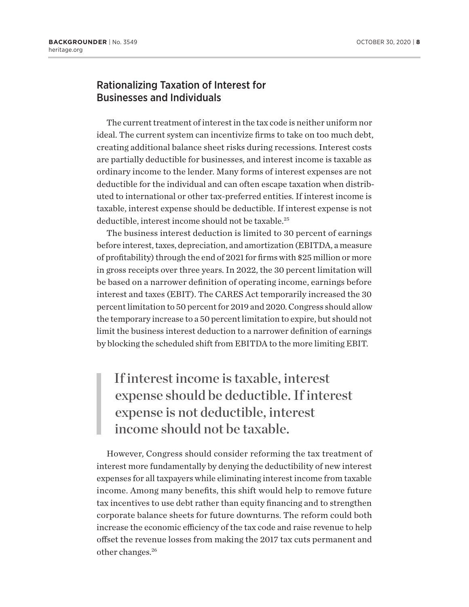### Rationalizing Taxation of Interest for Businesses and Individuals

The current treatment of interest in the tax code is neither uniform nor ideal. The current system can incentivize firms to take on too much debt, creating additional balance sheet risks during recessions. Interest costs are partially deductible for businesses, and interest income is taxable as ordinary income to the lender. Many forms of interest expenses are not deductible for the individual and can often escape taxation when distributed to international or other tax-preferred entities. If interest income is taxable, interest expense should be deductible. If interest expense is not deductible, interest income should not be taxable.<sup>25</sup>

The business interest deduction is limited to 30 percent of earnings before interest, taxes, depreciation, and amortization (EBITDA, a measure of profitability) through the end of 2021 for firms with \$25 million or more in gross receipts over three years. In 2022, the 30 percent limitation will be based on a narrower definition of operating income, earnings before interest and taxes (EBIT). The CARES Act temporarily increased the 30 percent limitation to 50 percent for 2019 and 2020. Congress should allow the temporary increase to a 50 percent limitation to expire, but should not limit the business interest deduction to a narrower definition of earnings by blocking the scheduled shift from EBITDA to the more limiting EBIT.

# If interest income is taxable, interest expense should be deductible. If interest expense is not deductible, interest income should not be taxable.

However, Congress should consider reforming the tax treatment of interest more fundamentally by denying the deductibility of new interest expenses for all taxpayers while eliminating interest income from taxable income. Among many benefits, this shift would help to remove future tax incentives to use debt rather than equity financing and to strengthen corporate balance sheets for future downturns. The reform could both increase the economic efficiency of the tax code and raise revenue to help offset the revenue losses from making the 2017 tax cuts permanent and other changes.<sup>26</sup>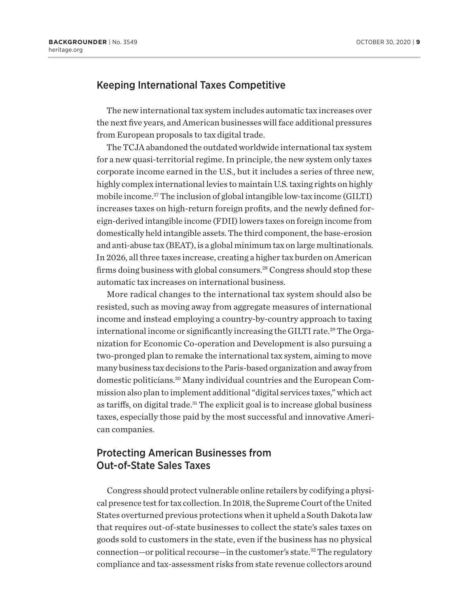### Keeping International Taxes Competitive

The new international tax system includes automatic tax increases over the next five years, and American businesses will face additional pressures from European proposals to tax digital trade.

The TCJA abandoned the outdated worldwide international tax system for a new quasi-territorial regime. In principle, the new system only taxes corporate income earned in the U.S., but it includes a series of three new, highly complex international levies to maintain U.S. taxing rights on highly mobile income.<sup>27</sup> The inclusion of global intangible low-tax income (GILTI) increases taxes on high-return foreign profits, and the newly defined foreign-derived intangible income (FDII) lowers taxes on foreign income from domestically held intangible assets. The third component, the base-erosion and anti-abuse tax (BEAT), is a global minimum tax on large multinationals. In 2026, all three taxes increase, creating a higher tax burden on American firms doing business with global consumers.<sup>28</sup> Congress should stop these automatic tax increases on international business.

More radical changes to the international tax system should also be resisted, such as moving away from aggregate measures of international income and instead employing a country-by-country approach to taxing international income or significantly increasing the GILTI rate.<sup>29</sup> The Organization for Economic Co-operation and Development is also pursuing a two-pronged plan to remake the international tax system, aiming to move many business tax decisions to the Paris-based organization and away from domestic politicians.30 Many individual countries and the European Commission also plan to implement additional "digital services taxes," which act as tariffs, on digital trade.<sup>31</sup> The explicit goal is to increase global business taxes, especially those paid by the most successful and innovative American companies.

### Protecting American Businesses from Out-of-State Sales Taxes

Congress should protect vulnerable online retailers by codifying a physical presence test for tax collection. In 2018, the Supreme Court of the United States overturned previous protections when it upheld a South Dakota law that requires out-of-state businesses to collect the state's sales taxes on goods sold to customers in the state, even if the business has no physical connection—or political recourse—in the customer's state.<sup>32</sup> The regulatory compliance and tax-assessment risks from state revenue collectors around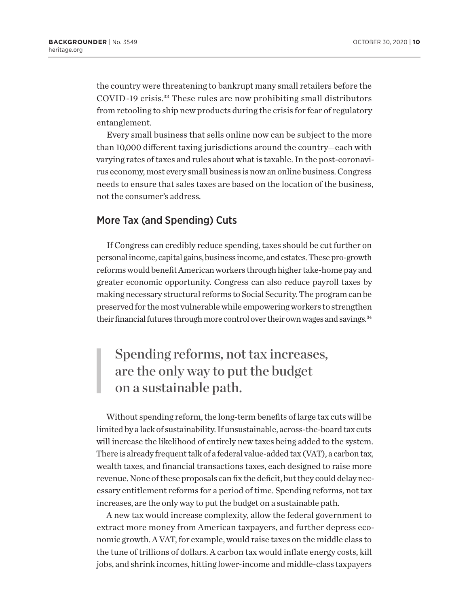the country were threatening to bankrupt many small retailers before the COVID-19 crisis.33 These rules are now prohibiting small distributors from retooling to ship new products during the crisis for fear of regulatory entanglement.

Every small business that sells online now can be subject to the more than 10,000 different taxing jurisdictions around the country—each with varying rates of taxes and rules about what is taxable. In the post-coronavirus economy, most every small business is now an online business. Congress needs to ensure that sales taxes are based on the location of the business, not the consumer's address.

### More Tax (and Spending) Cuts

If Congress can credibly reduce spending, taxes should be cut further on personal income, capital gains, business income, and estates. These pro-growth reforms would benefit American workers through higher take-home pay and greater economic opportunity. Congress can also reduce payroll taxes by making necessary structural reforms to Social Security. The program can be preserved for the most vulnerable while empowering workers to strengthen their financial futures through more control over their own wages and savings.<sup>34</sup>

# Spending reforms, not tax increases, are the only way to put the budget on a sustainable path.

Without spending reform, the long-term benefits of large tax cuts will be limited by a lack of sustainability. If unsustainable, across-the-board tax cuts will increase the likelihood of entirely new taxes being added to the system. There is already frequent talk of a federal value-added tax (VAT), a carbon tax, wealth taxes, and financial transactions taxes, each designed to raise more revenue. None of these proposals can fix the deficit, but they could delay necessary entitlement reforms for a period of time. Spending reforms, not tax increases, are the only way to put the budget on a sustainable path.

A new tax would increase complexity, allow the federal government to extract more money from American taxpayers, and further depress economic growth. A VAT, for example, would raise taxes on the middle class to the tune of trillions of dollars. A carbon tax would inflate energy costs, kill jobs, and shrink incomes, hitting lower-income and middle-class taxpayers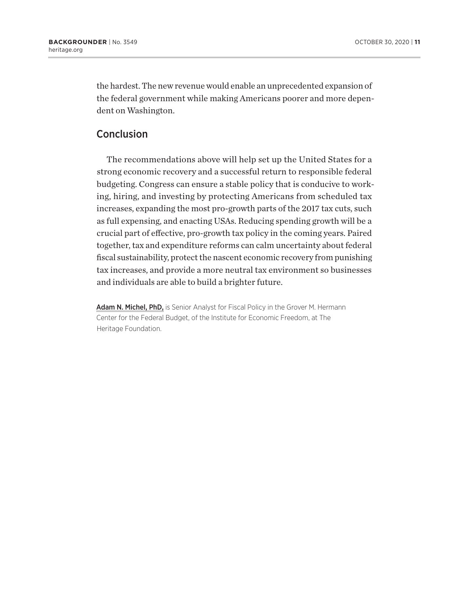the hardest. The new revenue would enable an unprecedented expansion of the federal government while making Americans poorer and more dependent on Washington.

## **Conclusion**

The recommendations above will help set up the United States for a strong economic recovery and a successful return to responsible federal budgeting. Congress can ensure a stable policy that is conducive to working, hiring, and investing by protecting Americans from scheduled tax increases, expanding the most pro-growth parts of the 2017 tax cuts, such as full expensing, and enacting USAs. Reducing spending growth will be a crucial part of effective, pro-growth tax policy in the coming years. Paired together, tax and expenditure reforms can calm uncertainty about federal fiscal sustainability, protect the nascent economic recovery from punishing tax increases, and provide a more neutral tax environment so businesses and individuals are able to build a brighter future.

Adam N. Michel, PhD, is Senior Analyst for Fiscal Policy in the Grover M. Hermann Center for the Federal Budget, of the Institute for Economic Freedom, at The Heritage Foundation.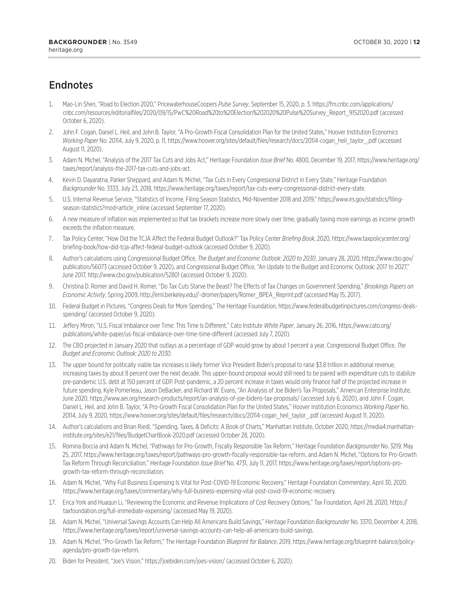# Endnotes

- 1. Mao-Lin Shen, "Road to Election 2020," PricewaterhouseCoopers *Pulse Survey*, September 15, 2020, p. 3, https://fm.cnbc.com/applications/ cnbc.com/resources/editorialfiles/2020/09/15/PwC%20Road%20to%20Election%202020%20Pulse%20Survey\_Report\_9152020.pdf (accessed October 6, 2020).
- 2. John F. Cogan, Daniel L. Heil, and John B. Taylor, "A Pro-Growth Fiscal Consolidation Plan for the United States," Hoover Institution Economics *Working Paper* No. 20114, July 9, 2020, p. 11, https://www.hoover.org/sites/default/files/research/docs/20114-cogan\_heil\_taylor\_.pdf (accessed August 11, 2020).
- 3. Adam N. Michel, "Analysis of the 2017 Tax Cuts and Jobs Act," Heritage Foundation *Issue Brief* No. 4800, December 19, 2017, https://www.heritage.org/ taxes/report/analysis-the-2017-tax-cuts-and-jobs-act.
- 4. Kevin D. Dayaratna, Parker Sheppard, and Adam N. Michel, "Tax Cuts in Every Congressional District in Every State," Heritage Foundation *Backgrounder* No. 3333, July 23, 2018, https://www.heritage.org/taxes/report/tax-cuts-every-congressional-district-every-state.
- 5. U.S. Internal Revenue Service, "Statistics of Income, Filing Season Statistics, Mid-November 2018 and 2019," https://www.irs.gov/statistics/filingseason-statistics?mod=article\_inline (accessed September 17, 2020).
- 6. A new measure of inflation was implemented so that tax brackets increase more slowly over time, gradually taxing more earnings as income growth exceeds the inflation measure.
- 7. Tax Policy Center, "How Did the TCJA Affect the Federal Budget Outlook?" Tax Policy Center *Briefing Book*, 2020, https://www.taxpolicycenter.org/ briefing-book/how-did-tcja-affect-federal-budget-outlook (accessed October 9, 2020).
- 8. Author's calculations using Congressional Budget Office, *The Budget and Economic Outlook: 2020 to 2030*, January 28, 2020, https://www.cbo.gov/ publication/56073 (accessed October 9, 2020), and Congressional Budget Office, "An Update to the Budget and Economic Outlook: 2017 to 2027," June 2017, http://www.cbo.gov/publication/52801 (accessed October 9, 2020).
- 9. Christina D. Romer and David H. Romer, "Do Tax Cuts Starve the Beast? The Effects of Tax Changes on Government Spending," *Brookings Papers on Economic Activity*, Spring 2009, http://eml.berkeley.edu//~dromer/papers/Romer\_BPEA\_Reprint.pdf (accessed May 15, 2017).
- 10. Federal Budget in Pictures, "Congress Deals for More Spending," The Heritage Foundation, https://www.federalbudgetinpictures.com/congress-dealsspending/ (accessed October 9, 2020).
- 11. Jeffery Miron, "U.S. Fiscal Imbalance over Time: This Time Is Different," Cato Institute *White Paper*, January 26, 2016, https://www.cato.org/ publications/white-paper/us-fiscal-imbalance-over-time-time-different (accessed July 7, 2020).
- 12. The CBO projected in January 2020 that outlays as a percentage of GDP would grow by about 1 percent a year. Congressional Budget Office, *The Budget and Economic Outlook: 2020 to 2030*.
- 13. The upper bound for politically viable tax increases is likely former Vice President Biden's proposal to raise \$3.8 trillion in additional revenue, increasing taxes by about 8 percent over the next decade. This upper-bound proposal would still need to be paired with expenditure cuts to stabilize pre-pandemic U.S. debt at 150 percent of GDP. Post-pandemic, a 20 percent increase in taxes would only finance half of the projected increase in future spending. Kyle Pomerleau, Jason DeBacker, and Richard W. Evans, "An Analysis of Joe Biden's Tax Proposals," American Enterprise Institute, June 2020, https://www.aei.org/research-products/report/an-analysis-of-joe-bidens-tax-proposals/ (accessed July 6, 2020), and John F. Cogan, Daniel L. Heil, and John B. Taylor, "A Pro-Growth Fiscal Consolidation Plan for the United States," Hoover Institution Economics *Working Paper* No. 20114, July 9, 2020, https://www.hoover.org/sites/default/files/research/docs/20114-cogan\_heil\_taylor\_.pdf (accessed August 11, 2020).
- 14. Author's calculations and Brian Riedl, "Spending, Taxes, & Deficits: A Book of Charts," Manhattan Institute, October 2020, https://media4.manhattaninstitute.org/sites/e21/files/BudgetChartBook-2020.pdf (accessed October 28, 2020).
- 15. Romina Boccia and Adam N. Michel, "Pathways for Pro-Growth, Fiscally Responsible Tax Reform," Heritage Foundation *Backgrounder* No. 3219, May 25, 2017, https://www.heritage.org/taxes/report/pathways-pro-growth-fiscally-responsible-tax-reform, and Adam N. Michel, "Options for Pro-Growth Tax Reform Through Reconciliation," Heritage Foundation *Issue Brief* No. 4731, July 11, 2017, https://www.heritage.org/taxes/report/options-progrowth-tax-reform-through-reconciliation.
- 16. Adam N. Michel, "Why Full Business Expensing Is Vital for Post-COVID-19 Economic Recovery," Heritage Foundation *Commentary*, April 30, 2020, https://www.heritage.org/taxes/commentary/why-full-business-expensing-vital-post-covid-19-economic-recovery.
- 17. Erica York and Huaqun Li, "Reviewing the Economic and Revenue Implications of Cost Recovery Options," Tax Foundation, April 28, 2020, https:// taxfoundation.org/full-immediate-expensing/ (accessed May 19, 2020).
- 18. Adam N. Michel, "Universal Savings Accounts Can Help All Americans Build Savings," Heritage Foundation *Backgrounder* No. 3370, December 4, 2018, https://www.heritage.org/taxes/report/universal-savings-accounts-can-help-all-americans-build-savings.
- 19. Adam N. Michel, "Pro-Growth Tax Reform," The Heritage Foundation *Blueprint for Balance*, 2019, https://www.heritage.org/blueprint-balance/policyagenda/pro-growth-tax-reform.
- 20. Biden for President, "Joe's Vision," https://joebiden.com/joes-vision/ (accessed October 6, 2020).